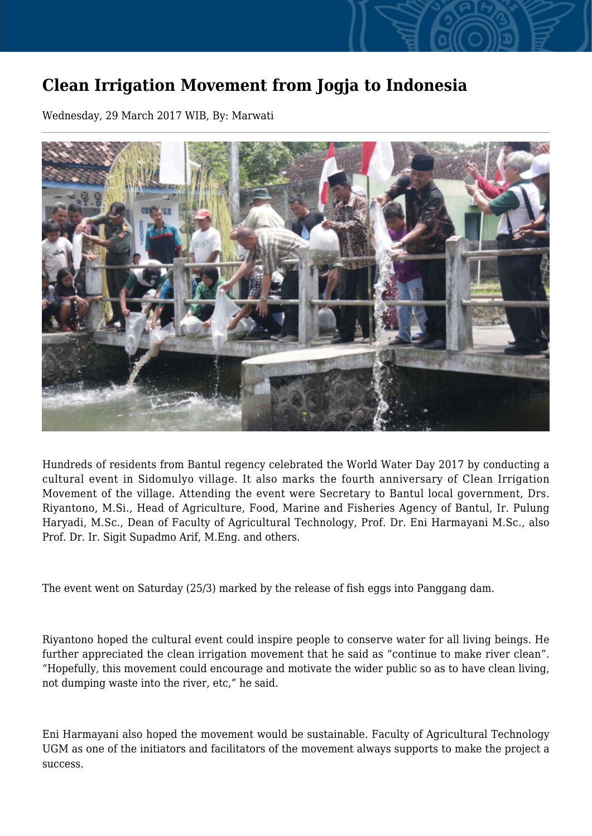## **Clean Irrigation Movement from Jogja to Indonesia**

Wednesday, 29 March 2017 WIB, By: Marwati



Hundreds of residents from Bantul regency celebrated the World Water Day 2017 by conducting a cultural event in Sidomulyo village. It also marks the fourth anniversary of Clean Irrigation Movement of the village. Attending the event were Secretary to Bantul local government, Drs. Riyantono, M.Si., Head of Agriculture, Food, Marine and Fisheries Agency of Bantul, Ir. Pulung Haryadi, M.Sc., Dean of Faculty of Agricultural Technology, Prof. Dr. Eni Harmayani M.Sc., also Prof. Dr. Ir. Sigit Supadmo Arif, M.Eng. and others.

The event went on Saturday (25/3) marked by the release of fish eggs into Panggang dam.

Riyantono hoped the cultural event could inspire people to conserve water for all living beings. He further appreciated the clean irrigation movement that he said as "continue to make river clean". "Hopefully, this movement could encourage and motivate the wider public so as to have clean living, not dumping waste into the river, etc," he said.

Eni Harmayani also hoped the movement would be sustainable. Faculty of Agricultural Technology UGM as one of the initiators and facilitators of the movement always supports to make the project a success.